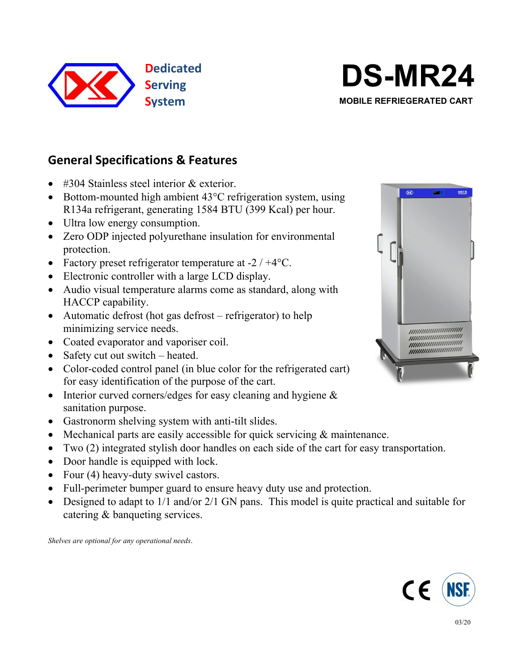



**System MOBILE** REFRIEGERATED CART

# **General Specifications & Features**

- #304 Stainless steel interior & exterior.
- $\bullet$  Bottom-mounted high ambient 43 $\degree$ C refrigeration system, using R134a refrigerant, generating 1584 BTU (399 Kcal) per hour.
- Ultra low energy consumption.
- Zero ODP injected polyurethane insulation for environmental protection.
- Factory preset refrigerator temperature at  $-2/44$ °C.
- Electronic controller with a large LCD display.
- Audio visual temperature alarms come as standard, along with HACCP capability.
- Automatic defrost (hot gas defrost refrigerator) to help minimizing service needs.
- Coated evaporator and vaporiser coil.
- Safety cut out switch heated.
- Color-coded control panel (in blue color for the refrigerated cart) for easy identification of the purpose of the cart.
- Interior curved corners/edges for easy cleaning and hygiene  $\&$ sanitation purpose.
- Gastronorm shelving system with anti-tilt slides.
- Mechanical parts are easily accessible for quick servicing  $\&$  maintenance.
- Two (2) integrated stylish door handles on each side of the cart for easy transportation.
- Door handle is equipped with lock.
- Four (4) heavy-duty swivel castors.
- Full-perimeter bumper guard to ensure heavy duty use and protection.
- Designed to adapt to  $1/1$  and/or  $2/1$  GN pans. This model is quite practical and suitable for catering & banqueting services.

*Shelves are optional for any operational needs*.